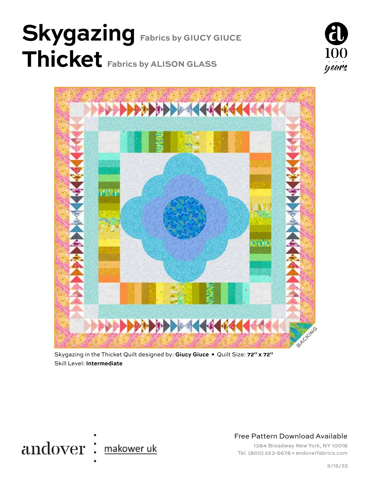# **Skygazing Fabrics by GIUCY GIUCE Thicket Fabrics by ALISON GLASS**





Skygazing in the Thicket Quilt designed by: **Giucy Giuce •** Quilt Size: **72" x 72"** Skill Level: **Intermediate**



Free Pattern Download Available

1384 Broadway New York, NY 10018 Tel. (800) 223-5678 • andoverfabrics.com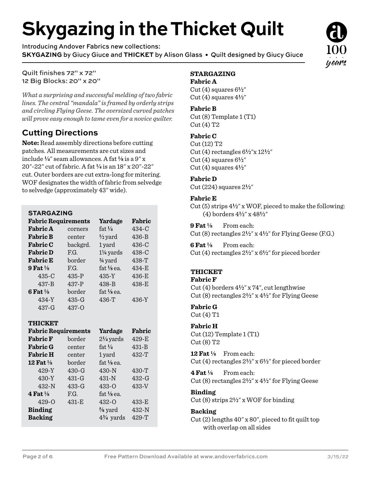# **Skygazing in the Thicket Quilt**

Introducing Andover Fabrics new collections: **SKYGAZING** by Giucy Giuce and **THICKET** by Alison Glass • Quilt designed by Giucy Giuce

Quilt finishes 72" x 72" 12 Big Blocks: 20" x 20"

*What a surprising and successful melding of two fabric lines. The central "mandala" is framed by orderly strips and circling Flying Geese. The oversized curved patches will prove easy enough to tame even for a novice quilter.*

### **Cutting Directions**

**Note:** Read assembly directions before cutting patches. All measurements are cut sizes and include  $\frac{1}{4}$ " seam allowances. A fat  $\frac{1}{8}$  is a 9" x 20"-22" cut of fabric. A fat **4** is an 18" x 20"-22" cut. Outer borders are cut extra-long for mitering. WOF designates the width of fabric from selvedge to selvedge (approximately 43" wide).

#### **STARGAZING**

| <b>Fabric Requirements</b> |          | Yardage              | Fabric    |
|----------------------------|----------|----------------------|-----------|
| <b>Fabric A</b>            | corners  | fat $\frac{1}{4}$    | $434-C$   |
| <b>Fabric B</b>            | center   | $\frac{1}{2}$ yard   | $436 - B$ |
| <b>Fabric C</b>            | backgrd. | 1 yard               | $436-C$   |
| <b>Fabric D</b>            | F.G.     | $1\frac{1}{4}$ yards | $438-C$   |
| <b>Fabric E</b>            | border   | $\frac{3}{4}$ yard   | 438-T     |
| 9 Fat $\frac{1}{8}$        | F.G.     | $fat\frac{1}{8}$ ea. | $434 - E$ |
| $435-C$                    | $435-P$  | $435-Y$              | 436-E     |
| $437 - B$                  | 437-P    | $438 - B$            | $438-E$   |
| 6 Fat $\frac{1}{8}$        | border   | $fat\$ {6} ea.       |           |
| 434-Y                      | $435-G$  | $436-T$              | 436-Y     |
| 437-G                      | 437-O    |                      |           |

#### **THICKET**

| <b>Fabric Requirements</b> |           | Yardage                 | Fabric    |
|----------------------------|-----------|-------------------------|-----------|
| <b>Fabric F</b>            | border    | $2\frac{1}{4}$ yards    | 429-E     |
| <b>Fabric G</b>            | center    | fat $\frac{1}{4}$       | $431 - B$ |
| <b>Fabric H</b>            | center    | 1 yard                  | $432-T$   |
| 12 Fat $\frac{1}{8}$       | border    | $fat\frac{1}{8}$ ea.    |           |
| $429 - Y$                  | $430 - G$ | $430-N$                 | 430-T     |
| 430-Y                      | $431-G$   | $431-N$                 | $432-G$   |
| $432-N$                    | $433-G$   | $433 - 0$               | 433-V     |
| 4 Fat $\frac{1}{8}$        | F.G.      | $fat$ $\frac{1}{8}$ ea. |           |
| $429 - 0$                  | $431-E$   | $432 - 0$               | $433-E$   |
| <b>Binding</b>             |           | $\frac{5}{8}$ yard      | 432-N     |
| <b>Backing</b>             |           | $4\frac{3}{4}$ yards    | 429-T     |

#### **STARGAZING**

#### **Fabric A**

Cut  $(4)$  squares  $6\frac{1}{2}$ " Cut  $(4)$  squares  $4\frac{1}{2}$ "

#### **Fabric B**

Cut (8) Template 1 (T1) Cut (4) T2

#### **Fabric C**

Cut (12) T2 Cut (4) rectangles 6**2**"x 12**2**" Cut (4) squares  $6\frac{1}{2}$ " Cut  $(4)$  squares  $4\frac{1}{2}$ "

#### **Fabric D**

Cut (224) squares 2**2**"

#### **Fabric E**

Cut (5) strips 4**2**" x WOF, pieced to make the following: (4) borders 4**2**" x 48**2**"

**9 Fat 8** From each:

Cut (8) rectangles 2**2**" x 4**2**" for Flying Geese (F.G.)

**6 Fat 8** From each: Cut (4) rectangles 2**2**" x 6**2**" for pieced border

#### **THICKET**

#### **Fabric F**

Cut (4) borders 4**2**" x 74", cut lengthwise Cut (8) rectangles 2**2**" x 4**2**" for Flying Geese

#### **Fabric G**

Cut (4) T1

#### **Fabric H**

Cut (12) Template 1 (T1) Cut (8) T2

**12 Fat 8** From each: Cut (4) rectangles 2**2**" x 6**2**" for pieced border

**4 Fat 8** From each: Cut (8) rectangles 2**2**" x 4**2**" for Flying Geese

#### **Binding**

Cut (8) strips 2**2**" x WOF for binding

#### **Backing**

Cut (2) lengths 40" x 80", pieced to fit quilt top with overlap on all sides

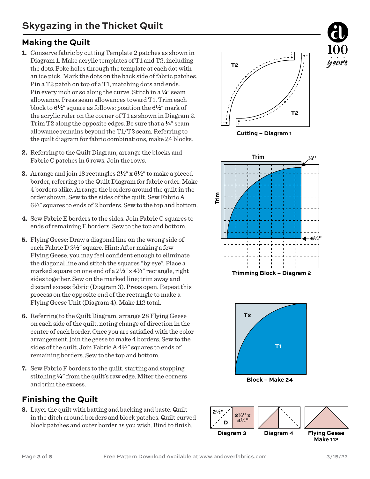### **Making the Quilt**

- **1.** Conserve fabric by cutting Template 2 patches as shown in Diagram 1. Make acrylic templates of T1 and T2, including the dots. Poke holes through the template at each dot with an ice pick. Mark the dots on the back side of fabric patches. Pin a T2 patch on top of a T1, matching dots and ends. Pin every inch or so along the curve. Stitch in a **4**" seam allowance. Press seam allowances toward T1. Trim each block to 6**2**" square as follows: position the 6**2**" mark of the acrylic ruler on the corner of T1 as shown in Diagram 2. Trim T2 along the opposite edges. Be sure that a **4**" seam allowance remains beyond the T1/T2 seam. Referring to the quilt diagram for fabric combinations, make 24 blocks.
- **2.** Referring to the Quilt Diagram, arrange the blocks and Fabric C patches in 6 rows. Join the rows.
- **3.** Arrange and join 18 rectangles 2**2**" x 6**2**" to make a pieced border, referring to the Quilt Diagram for fabric order. Make 4 borders alike. Arrange the borders around the quilt in the order shown. Sew to the sides of the quilt. Sew Fabric A 6**2**" squares to ends of 2 borders. Sew to the top and bottom.
- **4.** Sew Fabric E borders to the sides. Join Fabric C squares to ends of remaining E borders. Sew to the top and bottom.
- **5.** Flying Geese: Draw a diagonal line on the wrong side of each Fabric D 2**2**" square. Hint: After making a few Flying Geese, you may feel confident enough to eliminate the diagonal line and stitch the squares "by eye". Place a marked square on one end of a 2**2**" x 4**2**" rectangle, right sides together. Sew on the marked line; trim away and discard excess fabric (Diagram 3). Press open. Repeat this process on the opposite end of the rectangle to make a Flying Geese Unit (Diagram 4). Make 112 total.
- **6.** Referring to the Quilt Diagram, arrange 28 Flying Geese on each side of the quilt, noting change of direction in the center of each border. Once you are satisfied with the color arrangement, join the geese to make 4 borders. Sew to the sides of the quilt. Join Fabric A 4**2**" squares to ends of remaining borders. Sew to the top and bottom.
- **7.** Sew Fabric F borders to the quilt, starting and stopping stitching  $\frac{1}{4}$ " from the quilt's raw edge. Miter the corners and trim the excess.

## **Finishing the Quilt**

**8.** Layer the quilt with batting and backing and baste. Quilt in the ditch around borders and block patches. Quilt curved block patches and outer border as you wish. Bind to finish.



**Cutting – Diagram 1**





**Block – Make 24**

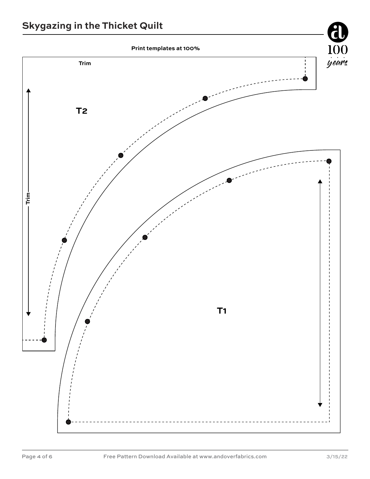## **Skygazing in the Thicket Quilt**

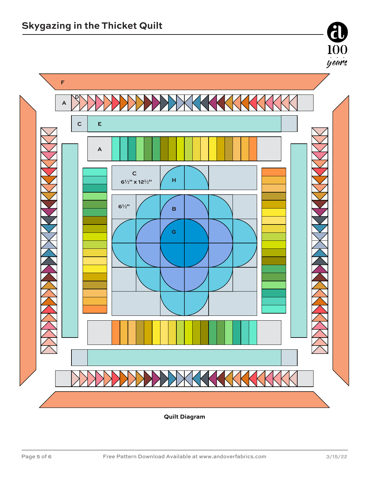

**Quilt Diagram** 

 $\frac{100}{\frac{1}{2}$